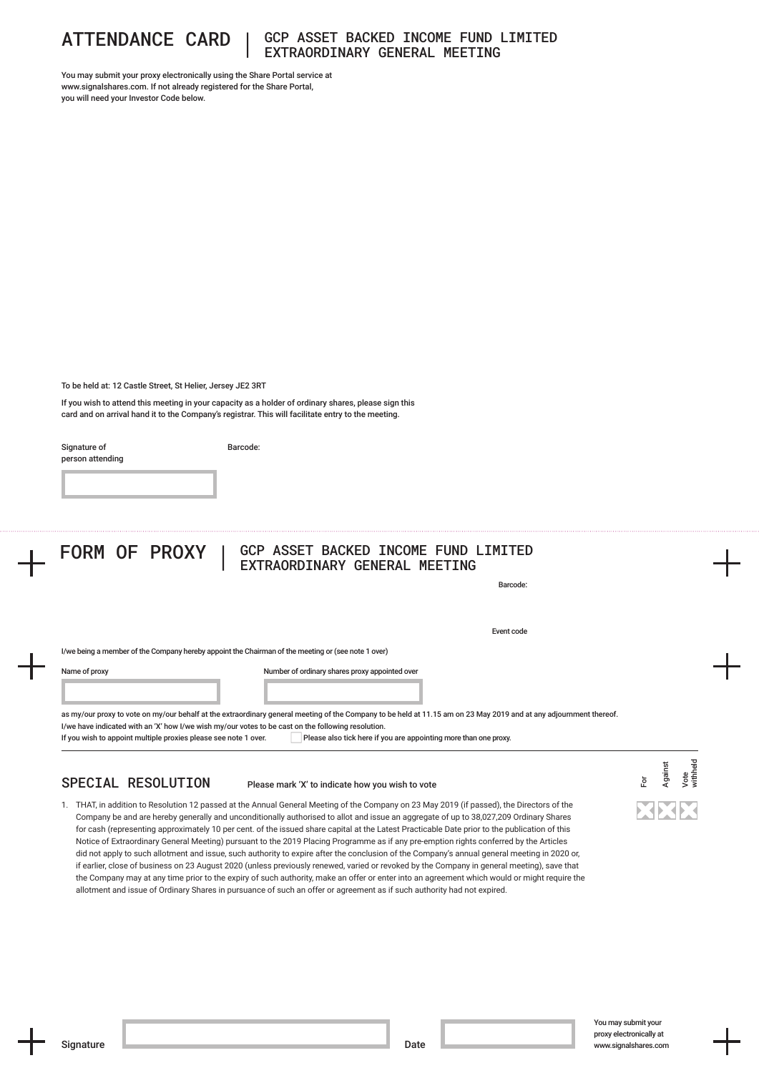

# ATTENDANCE CARD | GCP ASSET BACKED INCOME FUND LIMITED EXTRAORDINARY GENERAL MEETING

You may submit your proxy electronically using the Share Portal service at www.signalshares.com. If not already registered for the Share Portal, you will need your Investor Code below.

To be held at: 12 Castle Street, St Helier, Jersey JE2 3RT

If you wish to attend this meeting in your capacity as a holder of ordinary shares, please sign this card and on arrival hand it to the Company's registrar. This will facilitate entry to the meeting.

Signature of person attending Barcode:

### FORM OF PROXY | GCP ASSET BACKED INCOME FUND LIMITED EXTRAORDINARY GENERAL MEETING

Barcode:

Event code

I/we being a member of the Company hereby appoint the Chairman of the meeting or (see note 1 over)

Name of proxy

Number of ordinary shares proxy appointed over

as my/our proxy to vote on my/our behalf at the extraordinary general meeting of the Company to be held at 11.15 am on 23 May 2019 and at any adjournment thereof. I/we have indicated with an 'X' how I/we wish my/our votes to be cast on the following resolution. If you wish to appoint multiple proxies please see note 1 over. Please also tick here if you are appointing more than one proxy.

## SPECIAL RESOLUTION

#### Please mark 'X' to indicate how you wish to vote

1. THAT, in addition to Resolution 12 passed at the Annual General Meeting of the Company on 23 May 2019 (if passed), the Directors of the Company be and are hereby generally and unconditionally authorised to allot and issue an aggregate of up to 38,027,209 Ordinary Shares for cash (representing approximately 10 per cent. of the issued share capital at the Latest Practicable Date prior to the publication of this Notice of Extraordinary General Meeting) pursuant to the 2019 Placing Programme as if any pre-emption rights conferred by the Articles did not apply to such allotment and issue, such authority to expire after the conclusion of the Company's annual general meeting in 2020 or, if earlier, close of business on 23 August 2020 (unless previously renewed, varied or revoked by the Company in general meeting), save that the Company may at any time prior to the expiry of such authority, make an offer or enter into an agreement which would or might require the allotment and issue of Ordinary Shares in pursuance of such an offer or agreement as if such authority had not expired.

For

Against Vote withheld